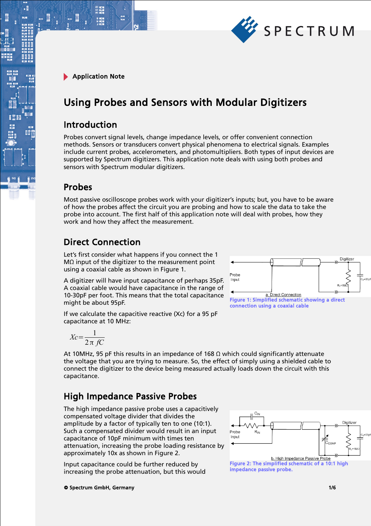

 $\cdot$ E

# Using Probes and Sensors with Modular Digitizers

### Introduction

Probes convert signal levels, change impedance levels, or offer convenient connection methods. Sensors or transducers convert physical phenomena to electrical signals. Examples include current probes, accelerometers, and photomultipliers. Both types of input devices are supported by Spectrum digitizers. This application note deals with using both probes and sensors with Spectrum modular digitizers.

### Probes

Most passive oscilloscope probes work with your digitizer's inputs; but, you have to be aware of how the probes affect the circuit you are probing and how to scale the data to take the probe into account. The first half of this application note will deal with probes, how they work and how they affect the measurement.

## Direct Connection

Let's first consider what happens if you connect the 1 MΩ input of the digitizer to the measurement point using a coaxial cable as shown in Figure 1.

A digitizer will have input capacitance of perhaps 35pF. A coaxial cable would have capacitance in the range of 10-30pF per foot. This means that the total capacitance might be about 95pF.

If we calculate the capacitive reactive (Xc) for a 95 pF capacitance at 10 MHz:

Figure 1: Simplified schematic showing a direct connection using a coaxial cable

$$
Xc = \frac{1}{2\pi fC}
$$

At 10MHz, 95 pF this results in an impedance of 168  $\Omega$  which could significantly attenuate the voltage that you are trying to measure. So, the effect of simply using a shielded cable to connect the digitizer to the device being measured actually loads down the circuit with this capacitance.

## High Impedance Passive Probes

The high impedance passive probe uses a capacitively compensated voltage divider that divides the amplitude by a factor of typically ten to one (10:1). Such a compensated divider would result in an input capacitance of 10pF minimum with times ten attenuation, increasing the probe loading resistance by approximately 10x as shown in Figure 2.

Input capacitance could be further reduced by increasing the probe attenuation, but this would



impedance passive probe.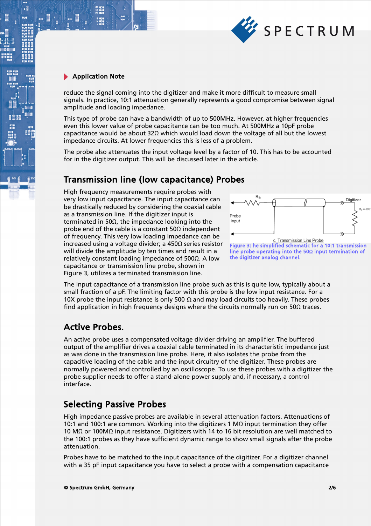

 $\cdot$ E

reduce the signal coming into the digitizer and make it more difficult to measure small signals. In practice, 10:1 attenuation generally represents a good compromise between signal amplitude and loading impedance.

This type of probe can have a bandwidth of up to 500MHz. However, at higher frequencies even this lower value of probe capacitance can be too much. At 500MHz a 10pF probe capacitance would be about 32Ω which would load down the voltage of all but the lowest impedance circuits. At lower frequencies this is less of a problem.

The probe also attenuates the input voltage level by a factor of 10. This has to be accounted for in the digitizer output. This will be discussed later in the article.

## Transmission line (low capacitance) Probes

High frequency measurements require probes with very low input capacitance. The input capacitance can be drastically reduced by considering the coaxial cable as a transmission line. If the digitizer input is terminated in 50Ω, the impedance looking into the probe end of the cable is a constant  $50\Omega$  independent of frequency. This very low loading impedance can be increased using a voltage divider; a 450Ω series resistor will divide the amplitude by ten times and result in a relatively constant loading impedance of 500Ω. A low capacitance or transmission line probe, shown in Figure 3, utilizes a terminated transmission line.



c. Transmission Line Probe Figure 3: he simplified schematic for a 10:1 transmission line probe operating into the 50Ω input termination of the digitizer analog channel.

The input capacitance of a transmission line probe such as this is quite low, typically about a small fraction of a pF. The limiting factor with this probe is the low input resistance. For a 10X probe the input resistance is only 500  $\Omega$  and may load circuits too heavily. These probes find application in high frequency designs where the circuits normally run on 50 $\Omega$  traces.

### Active Probes.

An active probe uses a compensated voltage divider driving an amplifier. The buffered output of the amplifier drives a coaxial cable terminated in its characteristic impedance just as was done in the transmission line probe. Here, it also isolates the probe from the capacitive loading of the cable and the input circuitry of the digitizer. These probes are normally powered and controlled by an oscilloscope. To use these probes with a digitizer the probe supplier needs to offer a stand-alone power supply and, if necessary, a control interface.

## Selecting Passive Probes

High impedance passive probes are available in several attenuation factors. Attenuations of 10:1 and 100:1 are common. Working into the digitizers 1 MΩ input termination they offer 10 MΩ or 100MΩ input resistance. Digitizers with 14 to 16 bit resolution are well matched to the 100:1 probes as they have sufficient dynamic range to show small signals after the probe attenuation.

Probes have to be matched to the input capacitance of the digitizer. For a digitizer channel with a 35 pF input capacitance you have to select a probe with a compensation capacitance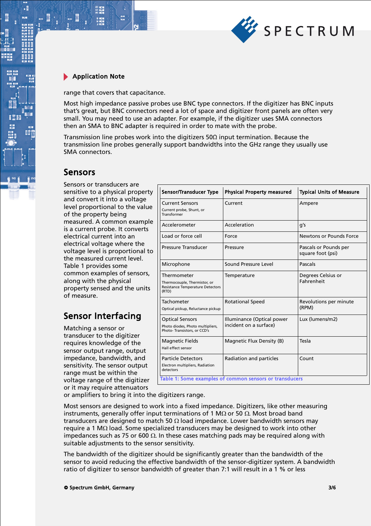

.

range that covers that capacitance.

Most high impedance passive probes use BNC type connectors. If the digitizer has BNC inputs that's great, but BNC connectors need a lot of space and digitizer front panels are often very small. You may need to use an adapter. For example, if the digitizer uses SMA connectors then an SMA to BNC adapter is required in order to mate with the probe.

Transmission line probes work into the digitizers  $50\Omega$  input termination. Because the transmission line probes generally support bandwidths into the GHz range they usually use SMA connectors.

### Sensors

Sensors or transducers are sensitive to a physical property and convert it into a voltage level proportional to the value of the property being measured. A common example is a current probe. It converts electrical current into an electrical voltage where the voltage level is proportional to the measured current level. Table 1 provides some common examples of sensors, along with the physical property sensed and the units of measure.

# Sensor Interfacing

Matching a sensor or transducer to the digitizer requires knowledge of the sensor output range, output impedance, bandwidth, and sensitivity. The sensor output range must be within the voltage range of the digitizer or it may require attenuators

| <b>Sensor/Transducer Type</b>                                                                   | <b>Physical Property measured</b>                    | <b>Typical Units of Measure</b>            |
|-------------------------------------------------------------------------------------------------|------------------------------------------------------|--------------------------------------------|
| <b>Current Sensors</b><br>Current probe, Shunt, or<br>Transformer                               | Current                                              | Ampere                                     |
| Accelerometer                                                                                   | Acceleration                                         | g's                                        |
| Load or force cell                                                                              | Force                                                | Newtons or Pounds Force                    |
| Pressure Transducer                                                                             | Pressure                                             | Pascals or Pounds per<br>square foot (psi) |
| Microphone                                                                                      | Sound Pressure Level                                 | Pascals                                    |
| Thermometer<br>Thermocouple, Thermistor, or<br><b>Resistance Temperature Detectors</b><br>(RTD) | Temperature                                          | Degrees Celsius or<br>Fahrenheit           |
| Tachometer<br>Optical pickup, Reluctance pickup                                                 | <b>Rotational Speed</b>                              | Revolutions per minute<br>(RPM)            |
| <b>Optical Sensors</b><br>Photo diodes, Photo multipliers,<br>Photo-Transistors, or CCD's       | Illuminance (Optical power<br>incident on a surface) | Lux (lumens/m2)                            |
| <b>Magnetic Fields</b><br>Hall effect sensor                                                    | Magnetic Flux Density (B)                            | Tesla                                      |
| <b>Particle Detectors</b><br>Electron multipliers, Radiation<br>detectors                       | Radiation and particles                              | Count                                      |
| Table 1: Some examples of common sensors or transducers                                         |                                                      |                                            |

or amplifiers to bring it into the digitizers range.

Most sensors are designed to work into a fixed impedance. Digitizers, like other measuring instruments, generally offer input terminations of 1 M $\Omega$  or 50  $\Omega$ . Most broad band transducers are designed to match 50  $\Omega$  load impedance. Lower bandwidth sensors may require a 1 M $\Omega$  load. Some specialized transducers may be designed to work into other impedances such as 75 or 600  $\Omega$ . In these cases matching pads may be required along with suitable adjustments to the sensor sensitivity.

The bandwidth of the digitizer should be significantly greater than the bandwidth of the sensor to avoid reducing the effective bandwidth of the sensor-digitizer system. A bandwidth ratio of digitizer to sensor bandwidth of greater than 7:1 will result in a 1 % or less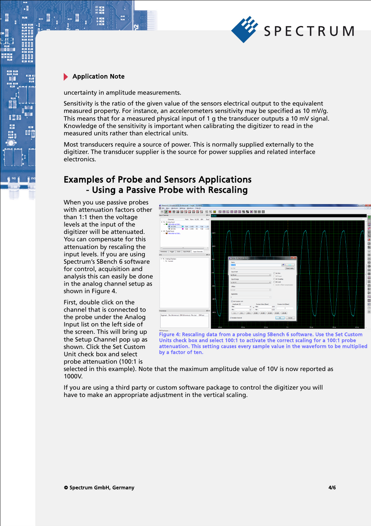

.

uncertainty in amplitude measurements.

Sensitivity is the ratio of the given value of the sensors electrical output to the equivalent measured property. For instance, an accelerometers sensitivity may be specified as 10 mV/g. This means that for a measured physical input of 1 g the transducer outputs a 10 mV signal. Knowledge of the sensitivity is important when calibrating the digitizer to read in the measured units rather than electrical units.

Most transducers require a source of power. This is normally supplied externally to the digitizer. The transducer supplier is the source for power supplies and related interface electronics.

### Examples of Probe and Sensors Applications - Using a Passive Probe with Rescaling

When you use passive probes with attenuation factors other than 1:1 then the voltage levels at the input of the digitizer will be attenuated. You can compensate for this attenuation by rescaling the input levels. If you are using Spectrum's SBench 6 software for control, acquisition and analysis this can easily be done in the analog channel setup as shown in Figure 4.

First, double click on the channel that is connected to the probe under the Analog Input list on the left side of the screen. This will bring up the Setup Channel pop up as shown. Click the Set Custom Unit check box and select probe attenuation (100:1 is



Figure 4: Rescaling data from a probe using SBench 6 software. Use the Set Custom Units check box and select 100:1 to activate the correct scaling for a 100:1 probe attenuation. This setting causes every sample value in the waveform to be multiplied by a factor of ten.

selected in this example). Note that the maximum amplitude value of 10V is now reported as 1000V.

If you are using a third party or custom software package to control the digitizer you will have to make an appropriate adjustment in the vertical scaling.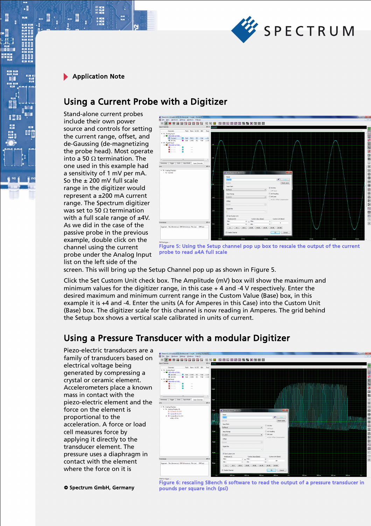

 $\cdot$ E

### Using a Current Probe with a Digitizer

Stand-alone current probes include their own power source and controls for setting the current range, offset, and de-Gaussing (de-magnetizing the probe head). Most operate into a 50  $\Omega$  termination. The one used in this example had a sensitivity of 1 mV per mA. So the ± 200 mV full scale range in the digitizer would represent a ±200 mA current range. The Spectrum digitizer was set to 50  $\Omega$  termination with a full scale range of  $±4V$ . As we did in the case of the passive probe in the previous example, double click on the channel using the current probe under the Analog Input list on the left side of the



Figure 5: Using the Setup channel pop up box to rescale the output of the current probe to read ±4A full scale

screen. This will bring up the Setup Channel pop up as shown in Figure 5.

Click the Set Custom Unit check box. The Amplitude (mV) box will show the maximum and minimum values for the digitizer range, in this case + 4 and -4 V respectively. Enter the desired maximum and minimum current range in the Custom Value (Base) box, in this example it is +4 and -4. Enter the units (A for Amperes in this Case) into the Custom Unit (Base) box. The digitizer scale for this channel is now reading in Amperes. The grid behind the Setup box shows a vertical scale calibrated in units of current.

### Using a Pressure Transducer with a modular Digitizer

Piezo-electric transducers are a family of transducers based on electrical voltage being generated by compressing a crystal or ceramic element. Accelerometers place a known mass in contact with the piezo-electric element and the force on the element is proportional to the acceleration. A force or load cell measures force by applying it directly to the transducer element. The pressure uses a diaphragm in contact with the element where the force on it is



© Spectrum GmbH, Germany 5/6

Figure 6: rescaling SBench 6 software to read the output of a pressure transducer in pounds per square inch (psi)